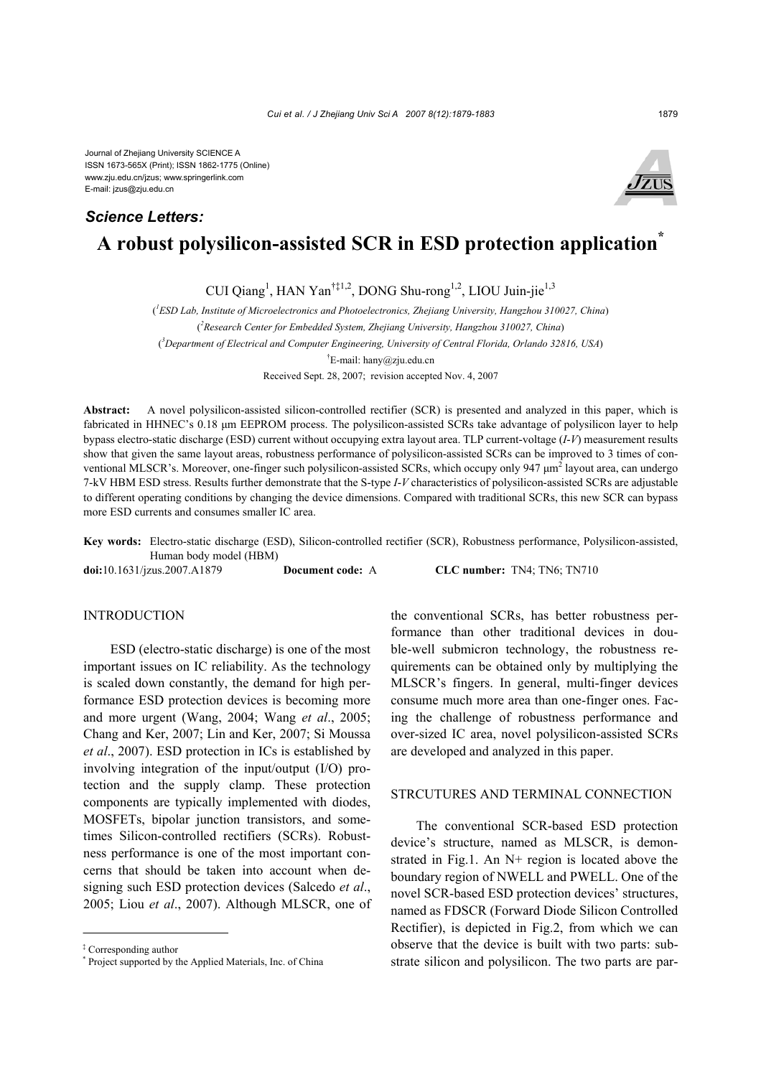# **A robust polysilicon-assisted SCR in ESD protection application\*** *Science Letters:*

CUI Qiang<sup>1</sup>, HAN Yan<sup>†‡1,2</sup>, DONG Shu-rong<sup>1,2</sup>, LIOU Juin-jie<sup>1,3</sup>

( *1 ESD Lab, Institute of Microelectronics and Photoelectronics, Zhejiang University, Hangzhou 310027, China*)

( *2 Research Center for Embedded System, Zhejiang University, Hangzhou 310027, China*)

( *3 Department of Electrical and Computer Engineering, University of Central Florida, Orlando 32816, USA*)

<sup>†</sup>E-mail: hany@zju.edu.cn

Received Sept. 28, 2007; revision accepted Nov. 4, 2007

**Abstract:** A novel polysilicon-assisted silicon-controlled rectifier (SCR) is presented and analyzed in this paper, which is fabricated in HHNEC's 0.18 µm EEPROM process. The polysilicon-assisted SCRs take advantage of polysilicon layer to help bypass electro-static discharge (ESD) current without occupying extra layout area. TLP current-voltage (*I*-*V*) measurement results show that given the same layout areas, robustness performance of polysilicon-assisted SCRs can be improved to 3 times of conventional MLSCR's. Moreover, one-finger such polysilicon-assisted SCRs, which occupy only 947  $\mu$ m<sup>2</sup> layout area, can undergo 7-kV HBM ESD stress. Results further demonstrate that the S-type *I*-*V* characteristics of polysilicon-assisted SCRs are adjustable to different operating conditions by changing the device dimensions. Compared with traditional SCRs, this new SCR can bypass more ESD currents and consumes smaller IC area.

**Key words:** Electro-static discharge (ESD), Silicon-controlled rectifier (SCR), Robustness performance, Polysilicon-assisted, Human body model (HBM)

**doi:**10.1631/jzus.2007.A1879 **Document code:** A **CLC number:** TN4; TN6; TN710

### **INTRODUCTION**

ESD (electro-static discharge) is one of the most important issues on IC reliability. As the technology is scaled down constantly, the demand for high performance ESD protection devices is becoming more and more urgent (Wang, 2004; Wang *et al*., 2005; Chang and Ker, 2007; Lin and Ker, 2007; Si Moussa *et al*., 2007). ESD protection in ICs is established by involving integration of the input/output (I/O) protection and the supply clamp. These protection components are typically implemented with diodes, MOSFETs, bipolar junction transistors, and sometimes Silicon-controlled rectifiers (SCRs). Robustness performance is one of the most important concerns that should be taken into account when designing such ESD protection devices (Salcedo *et al*., 2005; Liou *et al*., 2007). Although MLSCR, one of the conventional SCRs, has better robustness performance than other traditional devices in double-well submicron technology, the robustness requirements can be obtained only by multiplying the MLSCR's fingers. In general, multi-finger devices consume much more area than one-finger ones. Facing the challenge of robustness performance and over-sized IC area, novel polysilicon-assisted SCRs are developed and analyzed in this paper.

# STRCUTURES AND TERMINAL CONNECTION

The conventional SCR-based ESD protection device's structure, named as MLSCR, is demonstrated in Fig.1. An N+ region is located above the boundary region of NWELL and PWELL. One of the novel SCR-based ESD protection devices' structures, named as FDSCR (Forward Diode Silicon Controlled Rectifier), is depicted in Fig.2, from which we can observe that the device is built with two parts: substrate silicon and polysilicon. The two parts are par-



<sup>‡</sup> Corresponding author

<sup>\*</sup> Project supported by the Applied Materials, Inc. of China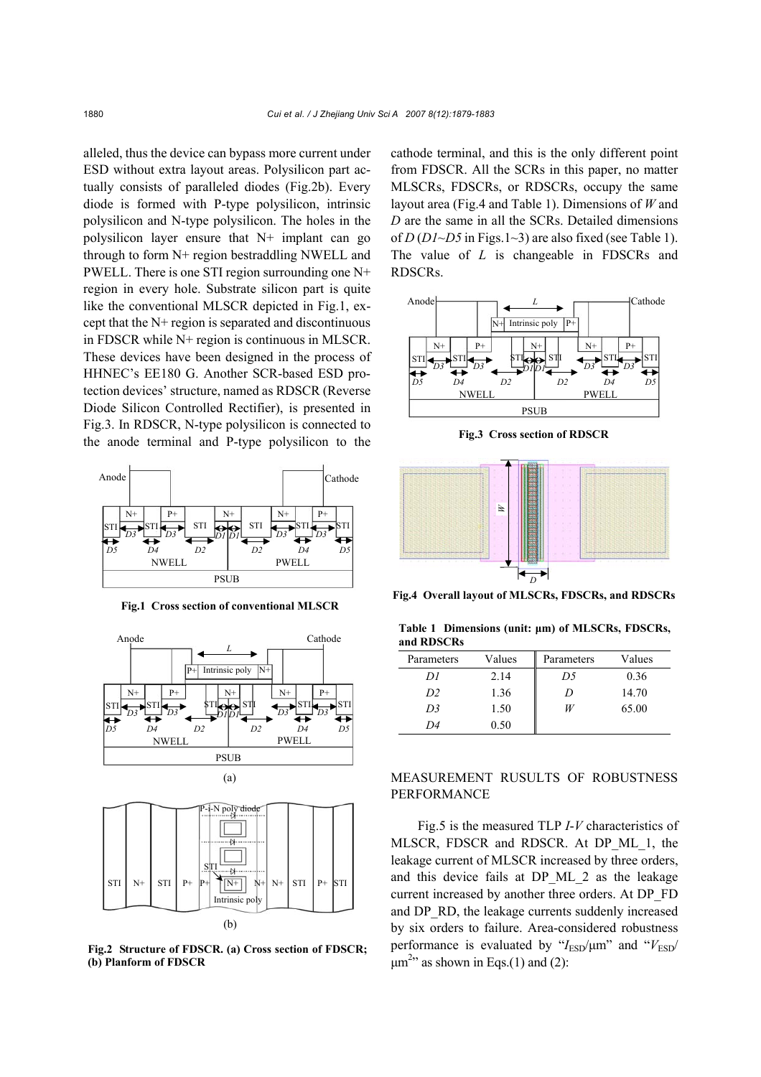alleled, thus the device can bypass more current under ESD without extra layout areas. Polysilicon part actually consists of paralleled diodes (Fig.2b). Every diode is formed with P-type polysilicon, intrinsic polysilicon and N-type polysilicon. The holes in the polysilicon layer ensure that N+ implant can go through to form N+ region bestraddling NWELL and PWELL. There is one STI region surrounding one N+ region in every hole. Substrate silicon part is quite like the conventional MLSCR depicted in Fig.1, except that the N+ region is separated and discontinuous in FDSCR while N+ region is continuous in MLSCR. These devices have been designed in the process of HHNEC's EE180 G. Another SCR-based ESD protection devices' structure, named as RDSCR (Reverse Diode Silicon Controlled Rectifier), is presented in Fig.3. In RDSCR, N-type polysilicon is connected to the anode terminal and P-type polysilicon to the



**Fig.1 Cross section of conventional MLSCR**





**Fig.2 Structure of FDSCR. (a) Cross section of FDSCR; (b) Planform of FDSCR** 

cathode terminal, and this is the only different point from FDSCR. All the SCRs in this paper, no matter MLSCRs, FDSCRs, or RDSCRs, occupy the same layout area (Fig.4 and Table 1). Dimensions of *W* and *D* are the same in all the SCRs. Detailed dimensions of *D* (*D1*~*D5* in Figs.1~3) are also fixed (see Table 1). The value of *L* is changeable in FDSCRs and RDSCRs.



**Fig.3 Cross section of RDSCR** 



**Fig.4 Overall layout of MLSCRs, FDSCRs, and RDSCRs**

**Table 1 Dimensions (unit: µm) of MLSCRs, FDSCRs, and RDSCRs**

| Parameters     | Values | Parameters | Values |
|----------------|--------|------------|--------|
| DI             | 2.14   | D5         | 0.36   |
| D <sub>2</sub> | 1.36   | $\prime$   | 14.70  |
| D3             | 1.50   | W          | 65.00  |
| 1)4            | 0.50   |            |        |

# MEASUREMENT RUSULTS OF ROBUSTNESS PERFORMANCE

Fig.5 is the measured TLP *I*-*V* characteristics of MLSCR, FDSCR and RDSCR. At DP\_ML\_1, the leakage current of MLSCR increased by three orders, and this device fails at DP\_ML\_2 as the leakage current increased by another three orders. At DP\_FD and DP\_RD, the leakage currents suddenly increased by six orders to failure. Area-considered robustness performance is evaluated by " $I_{\text{ESD}}/\mu m$ " and " $V_{\text{ESD}}/$  $\mu$ m<sup>2</sup><sup>2</sup> as shown in Eqs.(1) and (2):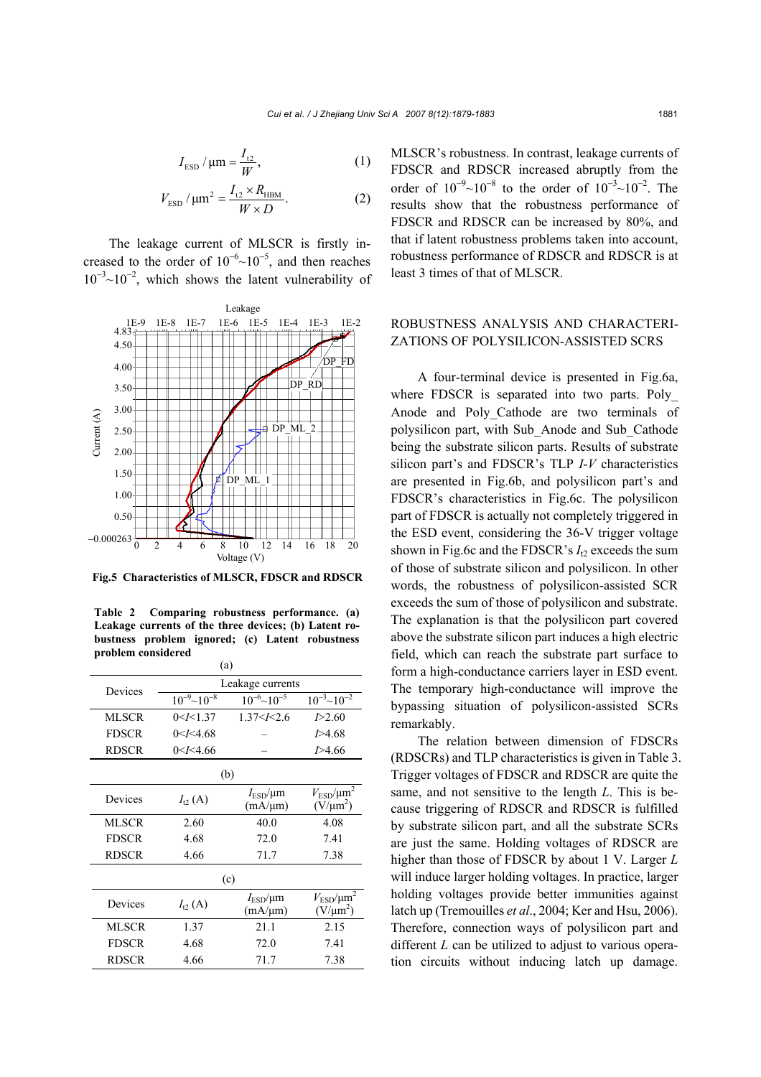$$
I_{\rm ESD} / \mu \text{m} = \frac{I_{12}}{W}, \qquad (1)
$$

$$
V_{\rm ESD}
$$
 /  $\mu$ m<sup>2</sup> =  $\frac{I_{12} \times R_{\rm HBM}}{W \times D}$ . (2)

The leakage current of MLSCR is firstly increased to the order of  $10^{-6}$ ~ $10^{-5}$ , and then reaches  $10^{-3}$ ~ $10^{-2}$ , which shows the latent vulnerability of



**Fig.5 Characteristics of MLSCR, FDSCR and RDSCR**

 $\sqrt{a}$ **Table 2 Comparing robustness performance. (a) Leakage currents of the three devices; (b) Latent robustness problem ignored; (c) Latent robustness problem considered** 

| (a)          |                       |                                        |                                           |  |  |  |
|--------------|-----------------------|----------------------------------------|-------------------------------------------|--|--|--|
| Devices      | Leakage currents      |                                        |                                           |  |  |  |
|              | $10^{-9}$ ~ $10^{-8}$ | $10^{-6}$ ~ $10^{-5}$                  | $10^{-3}$ ~ $10^{-2}$                     |  |  |  |
| MLSCR        | 0 < I < 1.37          | 1.37 < k 2.6                           | 1 > 2.60                                  |  |  |  |
| <b>FDSCR</b> | 0 < I < 4.68          |                                        | 1 > 4.68                                  |  |  |  |
| <b>RDSCR</b> | 0 < I < 4.66          |                                        | <i>I</i> >4.66                            |  |  |  |
| (b)          |                       |                                        |                                           |  |  |  |
| Devices      | $I_{12}(A)$           | $I_{\text{ESD}}/\mu m$<br>$(mA/\mu m)$ | $V_{\rm ESD}/\mu m^2$<br>$(V/\mu m^2)$    |  |  |  |
| <b>MLSCR</b> | 2.60                  | 40.0                                   | 4.08                                      |  |  |  |
| <b>FDSCR</b> | 4.68                  | 72.0                                   | 7.41                                      |  |  |  |
| <b>RDSCR</b> | 4.66                  | 71.7                                   | 7.38                                      |  |  |  |
| (c)          |                       |                                        |                                           |  |  |  |
| Devices      | $I_{t2}$ (A)          | $I_{\text{ESD}}/\mu m$<br>$(mA/\mu m)$ | $V_{\text{ESD}}/\mu m^2$<br>$(V/\mu m^2)$ |  |  |  |
| <b>MLSCR</b> | 1.37                  | 21.1                                   | 2.15                                      |  |  |  |
| <b>FDSCR</b> | 4.68                  | 72.0                                   | 7.41                                      |  |  |  |
| <b>RDSCR</b> | 4.66                  | 71.7<br>7.38                           |                                           |  |  |  |
|              |                       |                                        |                                           |  |  |  |

MLSCR's robustness. In contrast, leakage currents of FDSCR and RDSCR increased abruptly from the order of  $10^{-9}$ ~ $10^{-8}$  to the order of  $10^{-3}$ ~ $10^{-2}$ . The results show that the robustness performance of FDSCR and RDSCR can be increased by 80%, and that if latent robustness problems taken into account, robustness performance of RDSCR and RDSCR is at least 3 times of that of MLSCR.

## ROBUSTNESS ANALYSIS AND CHARACTERI-ZATIONS OF POLYSILICON-ASSISTED SCRS

A four-terminal device is presented in Fig.6a, where FDSCR is separated into two parts. Poly Anode and Poly\_Cathode are two terminals of polysilicon part, with Sub\_Anode and Sub\_Cathode being the substrate silicon parts. Results of substrate silicon part's and FDSCR's TLP *I*-*V* characteristics are presented in Fig.6b, and polysilicon part's and FDSCR's characteristics in Fig.6c. The polysilicon part of FDSCR is actually not completely triggered in the ESD event, considering the 36-V trigger voltage shown in Fig.6c and the FDSCR's  $I_{12}$  exceeds the sum of those of substrate silicon and polysilicon. In other words, the robustness of polysilicon-assisted SCR exceeds the sum of those of polysilicon and substrate. The explanation is that the polysilicon part covered above the substrate silicon part induces a high electric field, which can reach the substrate part surface to form a high-conductance carriers layer in ESD event. The temporary high-conductance will improve the bypassing situation of polysilicon-assisted SCRs remarkably.

The relation between dimension of FDSCRs (RDSCRs) and TLP characteristics is given in Table 3. Trigger voltages of FDSCR and RDSCR are quite the same, and not sensitive to the length *L*. This is because triggering of RDSCR and RDSCR is fulfilled by substrate silicon part, and all the substrate SCRs are just the same. Holding voltages of RDSCR are higher than those of FDSCR by about 1 V. Larger *L* will induce larger holding voltages. In practice, larger holding voltages provide better immunities against latch up (Tremouilles *et al*., 2004; Ker and Hsu, 2006). Therefore, connection ways of polysilicon part and different *L* can be utilized to adjust to various operation circuits without inducing latch up damage.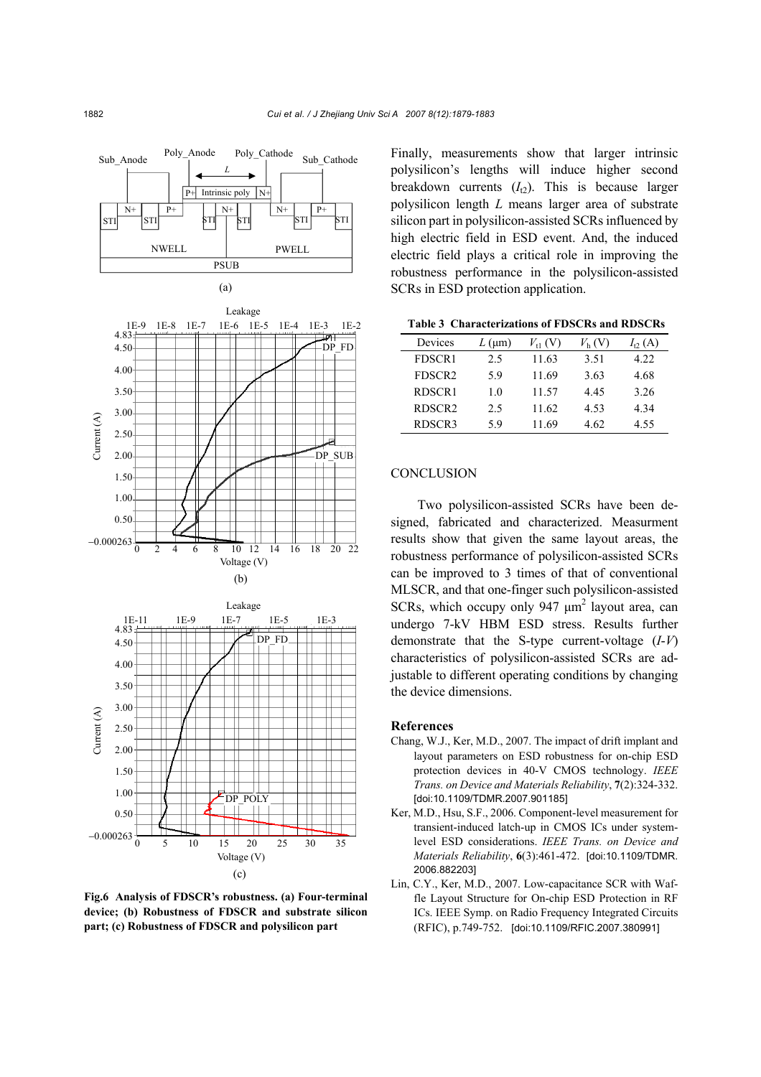

**Fig.6 Analysis of FDSCR's robustness. (a) Four-terminal device; (b) Robustness of FDSCR and substrate silicon part; (c) Robustness of FDSCR and polysilicon part** 

Finally, measurements show that larger intrinsic polysilicon's lengths will induce higher second breakdown currents  $(I_{12})$ . This is because larger polysilicon length *L* means larger area of substrate silicon part in polysilicon-assisted SCRs influenced by high electric field in ESD event. And, the induced electric field plays a critical role in improving the robustness performance in the polysilicon-assisted SCRs in ESD protection application.

**Table 3 Characterizations of FDSCRs and RDSCRs**

| Devices            | $L$ (µm) | $V_{11}$ (V) | $V_{\rm h}$ (V) | $I_{12}(A)$ |
|--------------------|----------|--------------|-----------------|-------------|
| FDSCR1             | 2.5      | 11.63        | 3.51            | 4.22        |
| FDSCR <sub>2</sub> | 59       | 11.69        | 3.63            | 4.68        |
| RDSCR1             | 1.0      | 11.57        | 445             | 3.26        |
| RDSCR <sub>2</sub> | 2.5      | 11.62        | 4.53            | 4 34        |
| RDSCR3             | 59       | 11.69        | 4.62            | 4.55        |

#### **CONCLUSION**

Two polysilicon-assisted SCRs have been designed, fabricated and characterized. Measurment results show that given the same layout areas, the robustness performance of polysilicon-assisted SCRs can be improved to 3 times of that of conventional MLSCR, and that one-finger such polysilicon-assisted SCRs, which occupy only 947  $\mu$ m<sup>2</sup> layout area, can undergo 7-kV HBM ESD stress. Results further demonstrate that the S-type current-voltage (*I*-*V*) characteristics of polysilicon-assisted SCRs are adjustable to different operating conditions by changing the device dimensions.

#### **References**

- Chang, W.J., Ker, M.D., 2007. The impact of drift implant and layout parameters on ESD robustness for on-chip ESD protection devices in 40-V CMOS technology. *IEEE Trans. on Device and Materials Reliability*, **7**(2):324-332. [doi:10.1109/TDMR.2007.901185]
- Ker, M.D., Hsu, S.F., 2006. Component-level measurement for transient-induced latch-up in CMOS ICs under systemlevel ESD considerations. *IEEE Trans. on Device and Materials Reliability*, **6**(3):461-472. [doi:10.1109/TDMR. 2006.882203]
- Lin, C.Y., Ker, M.D., 2007. Low-capacitance SCR with Waffle Layout Structure for On-chip ESD Protection in RF ICs. IEEE Symp. on Radio Frequency Integrated Circuits (RFIC), p.749-752. [doi:10.1109/RFIC.2007.380991]